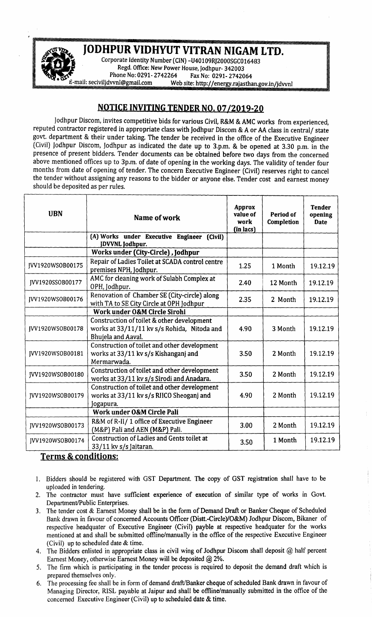

*F~ ..!!... . ..* Corporate Identity Number (CIN) -U40109RJ2000SGC016483 . Regd. Office: New Power House, Jodhpur- 342003 Phone No: 0291- 2742264 Fax No: 0291- 2742064<br>mail: seciviljdvvnl@gmail.com Web site: http://energy.rajastha Web site: http://energy.rajasthan.gov.in/jdvvnl

## <u>NOTICE INVITING TENDER NO. 07/2019-2</u>

Jodhpur Discom, invites competitive bids for various Civil, R&M & AMC works from experienced, reputed contractor registered in appropriate class with Jodhpur Discom & A or AA class in central/ state govt. department & their under taking. The tender be received in the office of the Executive Engineer (Civil) Jodhpur Discom, Jodhpur as indicated the date up to 3.p.m. & be opened at 3.30 p.m. in the presence of present bidders. Tender documents can be obtained before two days from the concerned above mentioned offices up to 3p.m. of date of opening in the working days. The validity of tender four months from date of opening of tender. The concern Executive Engineer (Civil) reserves right to cancel the tender without assigning any reasons to the bidder or anyone else. Tender cost and earnest money should be deposited as per rules.

| <b>UBN</b>       | Name of work                                                                                                    | Approx<br>value of<br>work<br>(in lacs) | Period of<br>Completion | <b>Tender</b><br>opening<br><b>Date</b> |
|------------------|-----------------------------------------------------------------------------------------------------------------|-----------------------------------------|-------------------------|-----------------------------------------|
|                  | (A) Works under Executive Engineer (Civil)<br>JDVVNL Jodhpur.                                                   |                                         |                         |                                         |
|                  | Works under (City-Circle), Jodhpur                                                                              |                                         |                         |                                         |
| JVV1920WSOB00175 | Repair of Ladies Toilet at SCADA control centre<br>premises NPH, Jodhpur.                                       | 1.25                                    | 1 Month                 | 19.12.19                                |
| JVV1920SSOB00177 | AMC for cleaning work of Sulabh Complex at<br>OPH, Jodhpur.                                                     | 2.40                                    | 12 Month                | 19.12.19                                |
| JVV1920WSOB00176 | Renovation of Chamber SE (City-circle) along<br>with TA to SE City Circle at OPH Jodhpur                        | 2.35                                    | 2 Month                 | 19.12.19                                |
|                  | Work under O&M Circle Sirohi                                                                                    |                                         |                         |                                         |
| JVV1920WSOB00178 | Construction of toilet & other development<br>works at 33/11/11 kv s/s Rohida, Nitoda and<br>Bhujela and Aaval. | 4.90                                    | 3 Month                 | 19.12.19                                |
| JVV1920WSOB00181 | Construction of toilet and other development<br>works at 33/11 kv s/s Kishanganj and<br>Mermarwada.             | 3.50                                    | 2 Month                 | 19.12.19                                |
| JVV1920WSOB00180 | Construction of toilet and other development<br>works at 33/11 kv s/s Sirodi and Anadara.                       | 3.50                                    | 2 Month                 | 19.12.19                                |
| JVV1920WSOB00179 | Construction of toilet and other development<br>works at 33/11 kv s/s RIICO Sheoganj and<br>Jogapura.           | 4.90                                    | 2 Month                 | 19.12.19                                |
|                  | Work under O&M Circle Pali                                                                                      |                                         |                         |                                         |
| JVV1920WSOB00173 | R&M of R-II/ 1 office of Executive Engineer<br>(M&P) Pali and AEN (M&P) Pali.                                   | 3.00                                    | 2 Month                 | 19.12.19                                |
| JVV1920WSOB00174 | Construction of Ladies and Gents toilet at<br>33/11 kv s/s Jaitaran.                                            | 3.50                                    | 1 Month                 | 19.12.19                                |

## Terms & conditions:

•

- 1. Bidders should be registered with GST Department. The copy of GST registration shall have to be uploaded in tendering.
- 2. The contractor must have sufficient experience of execution of similar type of works in Govt. Department/Public Enterprises.
- 3. The tender cost & Earnest Money shall be in the form of Demand Draft or Banker Cheque of Scheduled Bank drawn in favour of concerned Accounts Officer (Distt.-Circle)/O&M) Jodhpur Discom, Bikaner of respective headquater of Executive Engineer (Civil) payble at respective headquater for the works mentioned at and shall be submitted offline/manually in the office of the respective Executive Engineer (Civil) up to scheduled date & time.
- 4. The Bidders enlisted in appropriate class in civil wing of Jodhpur Discom shall deposit @ half percent Earnest Money, otherwise Eamest Money will be deposited @ 2%.
- 5. The firm which is participating in the tender process is required to deposit the demand draft which is prepared themselves only.
- 6. The processing fee shall be in form of demand draft/Banker cheque of scheduled Bank drawn in favour of Managing Director, RISL payable at Jaipur and shall be offline/manually submitted in the office of the concerned Executive Engineer (Civil) up to scheduled date & time.